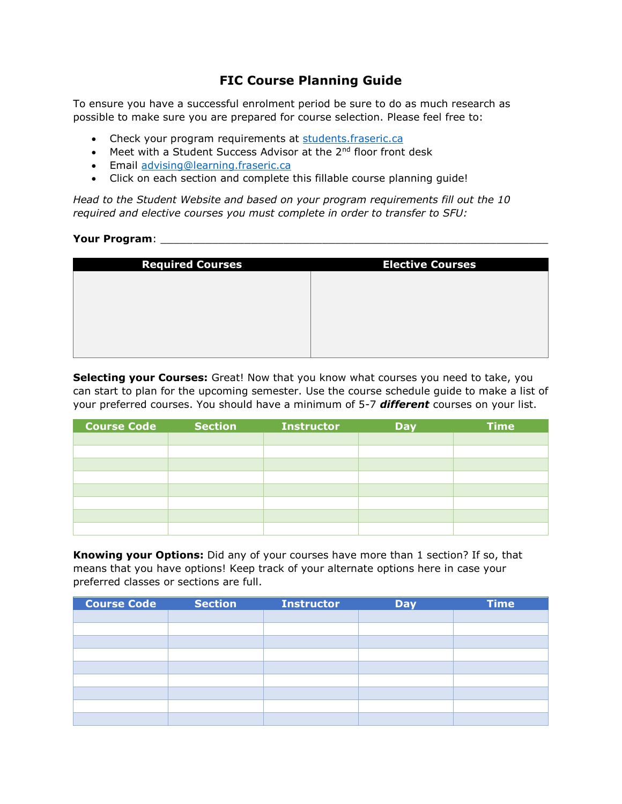## **FIC Course Planning Guide**

To ensure you have a successful enrolment period be sure to do as much research as possible to make sure you are prepared for course selection. Please feel free to:

- Check your program requirements at [students.fraseric.ca](http://www.student.fraseric.ca/)
- Meet with a Student Success Advisor at the 2<sup>nd</sup> floor front desk
- **Email [advising@learning.fraseric.ca](mailto:advising@learning.fraseric.ca)**
- Click on each section and complete this fillable course planning guide!

*Head to the Student Website and based on your program requirements fill out the 10 required and elective courses you must complete in order to transfer to SFU:*

## **Your Program**: \_\_\_\_\_\_\_\_\_\_\_\_\_\_\_\_\_\_\_\_\_\_\_\_\_\_\_\_\_\_\_\_\_\_\_\_\_\_\_\_\_\_\_\_\_\_\_\_\_\_\_\_\_\_\_\_\_\_\_\_

| <b>Elective Courses</b> |
|-------------------------|
|                         |
|                         |
|                         |
|                         |
|                         |
|                         |

**Selecting your Courses:** Great! Now that you know what courses you need to take, you can start to plan for the upcoming semester. Use the course schedule guide to make a list of your preferred courses. You should have a minimum of 5-7 *different* courses on your list.

| <b>Course Code</b> | <b>Section</b> | <b>Instructor</b> | <b>Day</b> | <b>Time</b> |
|--------------------|----------------|-------------------|------------|-------------|
|                    |                |                   |            |             |
|                    |                |                   |            |             |
|                    |                |                   |            |             |
|                    |                |                   |            |             |
|                    |                |                   |            |             |
|                    |                |                   |            |             |
|                    |                |                   |            |             |
|                    |                |                   |            |             |

**Knowing your Options:** Did any of your courses have more than 1 section? If so, that means that you have options! Keep track of your alternate options here in case your preferred classes or sections are full.

| <b>Course Code</b> | <b>Section</b> | Instructor | <b>Day</b> | <b>Time</b> |
|--------------------|----------------|------------|------------|-------------|
|                    |                |            |            |             |
|                    |                |            |            |             |
|                    |                |            |            |             |
|                    |                |            |            |             |
|                    |                |            |            |             |
|                    |                |            |            |             |
|                    |                |            |            |             |
|                    |                |            |            |             |
|                    |                |            |            |             |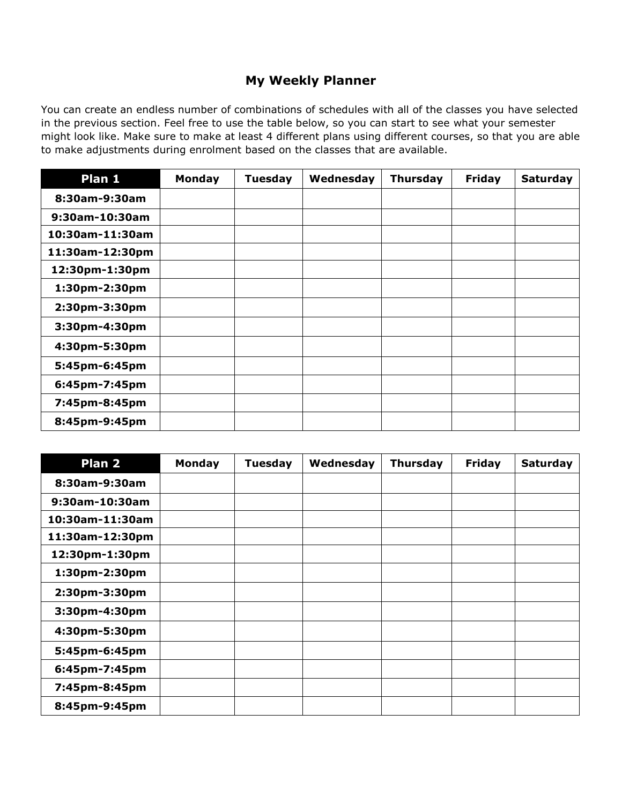## **My Weekly Planner**

You can create an endless number of combinations of schedules with all of the classes you have selected in the previous section. Feel free to use the table below, so you can start to see what your semester might look like. Make sure to make at least 4 different plans using different courses, so that you are able to make adjustments during enrolment based on the classes that are available.

| Plan 1            | Monday | <b>Tuesday</b> | Wednesday | <b>Thursday</b> | <b>Friday</b> | <b>Saturday</b> |
|-------------------|--------|----------------|-----------|-----------------|---------------|-----------------|
| 8:30am-9:30am     |        |                |           |                 |               |                 |
| $9:30$ am-10:30am |        |                |           |                 |               |                 |
| 10:30am-11:30am   |        |                |           |                 |               |                 |
| 11:30am-12:30pm   |        |                |           |                 |               |                 |
| 12:30pm-1:30pm    |        |                |           |                 |               |                 |
| 1:30pm-2:30pm     |        |                |           |                 |               |                 |
| 2:30pm-3:30pm     |        |                |           |                 |               |                 |
| 3:30pm-4:30pm     |        |                |           |                 |               |                 |
| 4:30pm-5:30pm     |        |                |           |                 |               |                 |
| 5:45pm-6:45pm     |        |                |           |                 |               |                 |
| 6:45pm-7:45pm     |        |                |           |                 |               |                 |
| 7:45pm-8:45pm     |        |                |           |                 |               |                 |
| 8:45pm-9:45pm     |        |                |           |                 |               |                 |

| Plan <sub>2</sub> | Monday | <b>Tuesday</b> | Wednesday | <b>Thursday</b> | <b>Friday</b> | Saturday |
|-------------------|--------|----------------|-----------|-----------------|---------------|----------|
| 8:30am-9:30am     |        |                |           |                 |               |          |
| 9:30am-10:30am    |        |                |           |                 |               |          |
| 10:30am-11:30am   |        |                |           |                 |               |          |
| 11:30am-12:30pm   |        |                |           |                 |               |          |
| 12:30pm-1:30pm    |        |                |           |                 |               |          |
| 1:30pm-2:30pm     |        |                |           |                 |               |          |
| 2:30pm-3:30pm     |        |                |           |                 |               |          |
| 3:30pm-4:30pm     |        |                |           |                 |               |          |
| 4:30pm-5:30pm     |        |                |           |                 |               |          |
| 5:45pm-6:45pm     |        |                |           |                 |               |          |
| 6:45pm-7:45pm     |        |                |           |                 |               |          |
| 7:45pm-8:45pm     |        |                |           |                 |               |          |
| 8:45pm-9:45pm     |        |                |           |                 |               |          |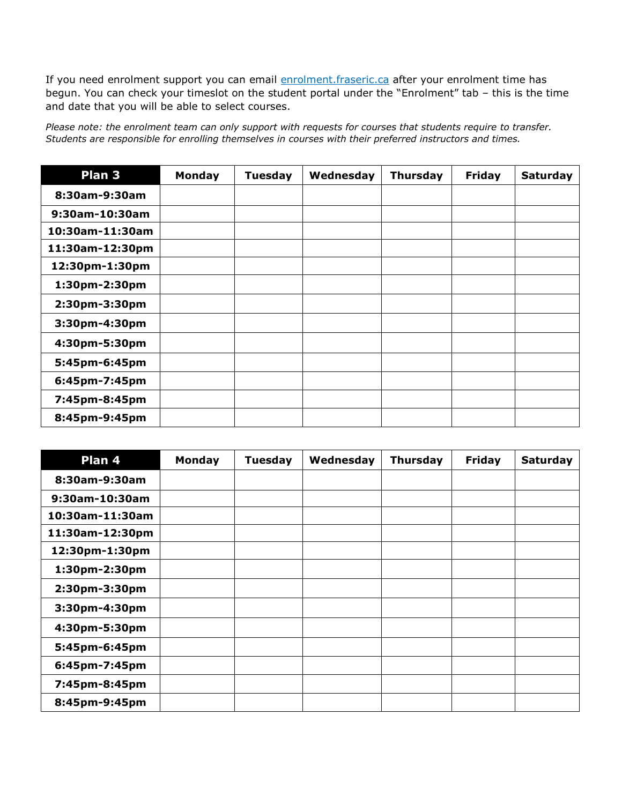If you need enrolment support you can email enrolment.fraseric.ca after your enrolment time has begun. You can check your timeslot on the student portal under the "Enrolment" tab – this is the time and date that you will be able to select courses.

*Please note: the enrolment team can only support with requests for courses that students require to transfer. Students are responsible for enrolling themselves in courses with their preferred instructors and times.*

| Plan <sub>3</sub> | Monday | <b>Tuesday</b> | Wednesday | <b>Thursday</b> | <b>Friday</b> | <b>Saturday</b> |
|-------------------|--------|----------------|-----------|-----------------|---------------|-----------------|
| 8:30am-9:30am     |        |                |           |                 |               |                 |
| 9:30am-10:30am    |        |                |           |                 |               |                 |
| 10:30am-11:30am   |        |                |           |                 |               |                 |
| 11:30am-12:30pm   |        |                |           |                 |               |                 |
| 12:30pm-1:30pm    |        |                |           |                 |               |                 |
| 1:30pm-2:30pm     |        |                |           |                 |               |                 |
| 2:30pm-3:30pm     |        |                |           |                 |               |                 |
| 3:30pm-4:30pm     |        |                |           |                 |               |                 |
| 4:30pm-5:30pm     |        |                |           |                 |               |                 |
| 5:45pm-6:45pm     |        |                |           |                 |               |                 |
| 6:45pm-7:45pm     |        |                |           |                 |               |                 |
| 7:45pm-8:45pm     |        |                |           |                 |               |                 |
| 8:45pm-9:45pm     |        |                |           |                 |               |                 |

| Plan 4          | Monday | <b>Tuesday</b> | Wednesday | <b>Thursday</b> | <b>Friday</b> | <b>Saturday</b> |
|-----------------|--------|----------------|-----------|-----------------|---------------|-----------------|
| 8:30am-9:30am   |        |                |           |                 |               |                 |
| 9:30am-10:30am  |        |                |           |                 |               |                 |
| 10:30am-11:30am |        |                |           |                 |               |                 |
| 11:30am-12:30pm |        |                |           |                 |               |                 |
| 12:30pm-1:30pm  |        |                |           |                 |               |                 |
| 1:30pm-2:30pm   |        |                |           |                 |               |                 |
| 2:30pm-3:30pm   |        |                |           |                 |               |                 |
| 3:30pm-4:30pm   |        |                |           |                 |               |                 |
| 4:30pm-5:30pm   |        |                |           |                 |               |                 |
| 5:45pm-6:45pm   |        |                |           |                 |               |                 |
| 6:45pm-7:45pm   |        |                |           |                 |               |                 |
| 7:45pm-8:45pm   |        |                |           |                 |               |                 |
| 8:45pm-9:45pm   |        |                |           |                 |               |                 |